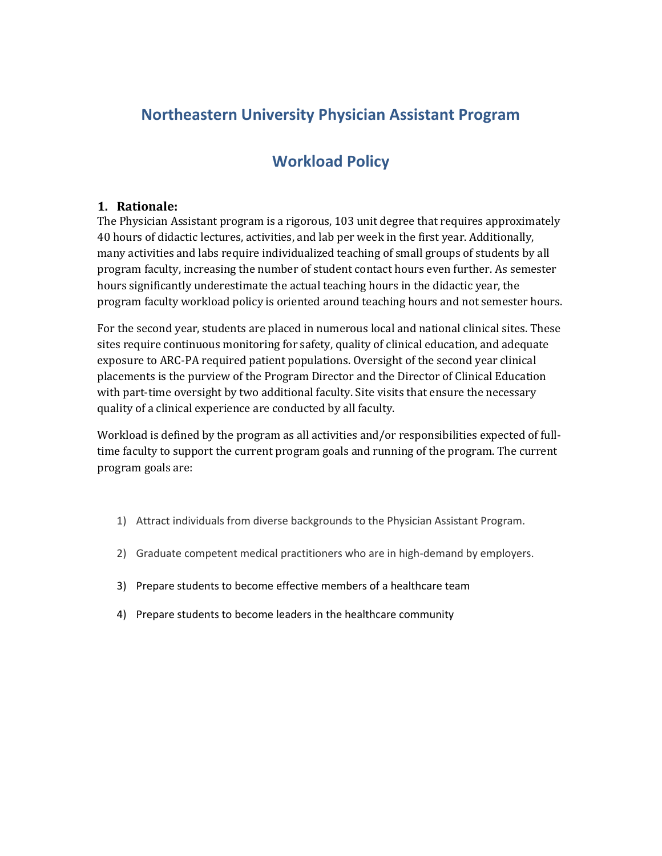# **Northeastern University Physician Assistant Program**

# **Workload Policy**

#### **1. Rationale:**

The Physician Assistant program is a rigorous, 103 unit degree that requires approximately 40 hours of didactic lectures, activities, and lab per week in the first year. Additionally, many activities and labs require individualized teaching of small groups of students by all program faculty, increasing the number of student contact hours even further. As semester hours significantly underestimate the actual teaching hours in the didactic year, the program faculty workload policy is oriented around teaching hours and not semester hours.

For the second year, students are placed in numerous local and national clinical sites. These sites require continuous monitoring for safety, quality of clinical education, and adequate exposure to ARC-PA required patient populations. Oversight of the second year clinical placements is the purview of the Program Director and the Director of Clinical Education with part-time oversight by two additional faculty. Site visits that ensure the necessary quality of a clinical experience are conducted by all faculty.

Workload is defined by the program as all activities and/or responsibilities expected of fulltime faculty to support the current program goals and running of the program. The current program goals are:

- 1) Attract individuals from diverse backgrounds to the Physician Assistant Program.
- 2) Graduate competent medical practitioners who are in high-demand by employers.
- 3) Prepare students to become effective members of a healthcare team
- 4) Prepare students to become leaders in the healthcare community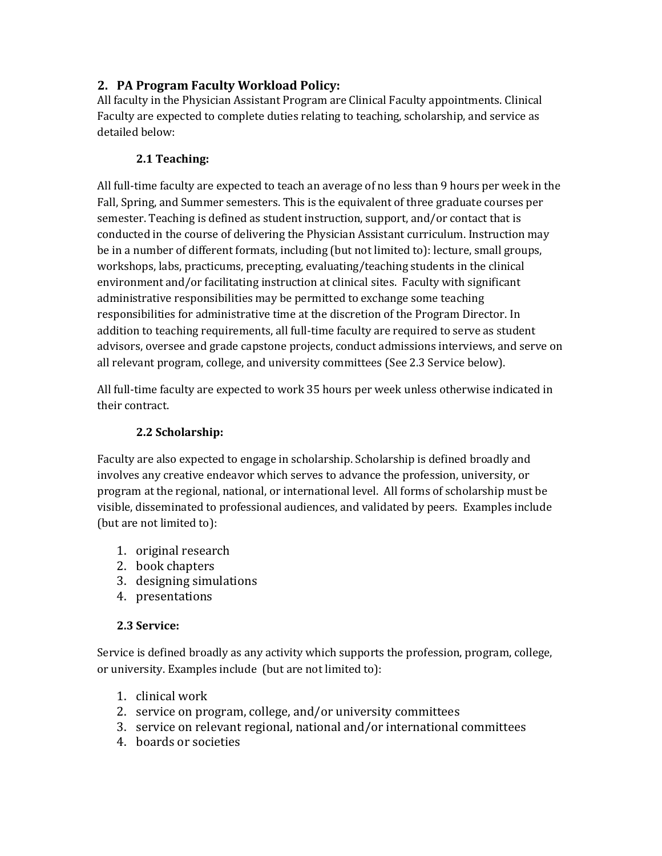# **2. PA Program Faculty Workload Policy:**

All faculty in the Physician Assistant Program are Clinical Faculty appointments. Clinical Faculty are expected to complete duties relating to teaching, scholarship, and service as detailed below:

#### **2.1 Teaching:**

All full-time faculty are expected to teach an average of no less than 9 hours per week in the Fall, Spring, and Summer semesters. This is the equivalent of three graduate courses per semester. Teaching is defined as student instruction, support, and/or contact that is conducted in the course of delivering the Physician Assistant curriculum. Instruction may be in a number of different formats, including (but not limited to): lecture, small groups, workshops, labs, practicums, precepting, evaluating/teaching students in the clinical environment and/or facilitating instruction at clinical sites. Faculty with significant administrative responsibilities may be permitted to exchange some teaching responsibilities for administrative time at the discretion of the Program Director. In addition to teaching requirements, all full-time faculty are required to serve as student advisors, oversee and grade capstone projects, conduct admissions interviews, and serve on all relevant program, college, and university committees (See 2.3 Service below).

All full-time faculty are expected to work 35 hours per week unless otherwise indicated in their contract.

### **2.2 Scholarship:**

Faculty are also expected to engage in scholarship. Scholarship is defined broadly and involves any creative endeavor which serves to advance the profession, university, or program at the regional, national, or international level. All forms of scholarship must be visible, disseminated to professional audiences, and validated by peers. Examples include (but are not limited to):

- 1. original research
- 2. book chapters
- 3. designing simulations
- 4. presentations

#### **2.3 Service:**

Service is defined broadly as any activity which supports the profession, program, college, or university. Examples include (but are not limited to):

- 1. clinical work
- 2. service on program, college, and/or university committees
- 3. service on relevant regional, national and/or international committees
- 4. boards or societies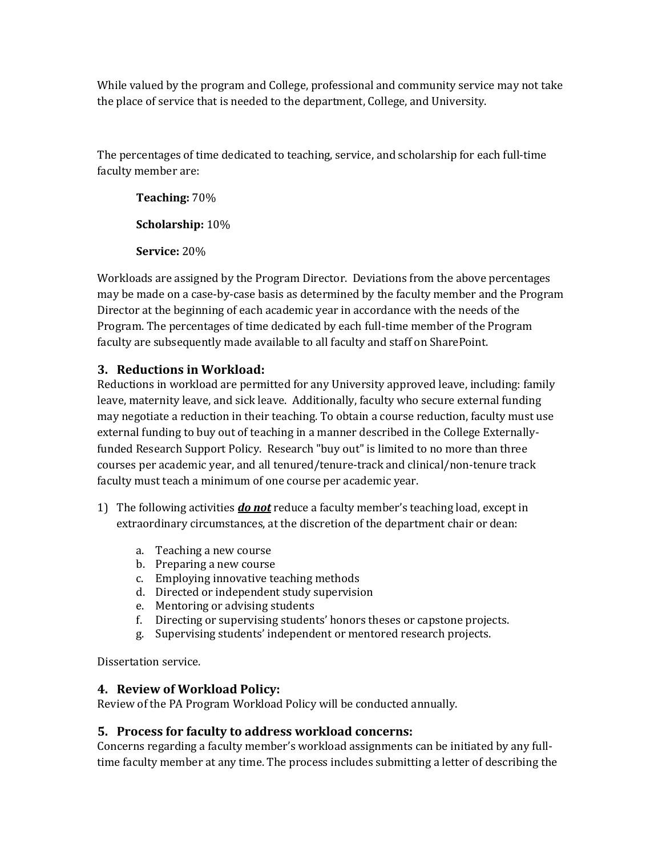While valued by the program and College, professional and community service may not take the place of service that is needed to the department, College, and University.

The percentages of time dedicated to teaching, service, and scholarship for each full-time faculty member are:

**Teaching:** 70% **Scholarship:** 10% **Service:** 20%

Workloads are assigned by the Program Director. Deviations from the above percentages may be made on a case-by-case basis as determined by the faculty member and the Program Director at the beginning of each academic year in accordance with the needs of the Program. The percentages of time dedicated by each full-time member of the Program faculty are subsequently made available to all faculty and staff on SharePoint.

### **3. Reductions in Workload:**

Reductions in workload are permitted for any University approved leave, including: family leave, maternity leave, and sick leave. Additionally, faculty who secure external funding may negotiate a reduction in their teaching. To obtain a course reduction, faculty must use external funding to buy out of teaching in a manner described in the College Externallyfunded Research Support Policy. Research "buy out" is limited to no more than three courses per academic year, and all tenured/tenure-track and clinical/non-tenure track faculty must teach a minimum of one course per academic year.

- 1) The following activities *do not* reduce a faculty member's teaching load, except in extraordinary circumstances, at the discretion of the department chair or dean:
	- a. Teaching a new course
	- b. Preparing a new course
	- c. Employing innovative teaching methods
	- d. Directed or independent study supervision
	- e. Mentoring or advising students
	- f. Directing or supervising students' honors theses or capstone projects.
	- g. Supervising students' independent or mentored research projects.

Dissertation service.

# **4. Review of Workload Policy:**

Review of the PA Program Workload Policy will be conducted annually.

# **5. Process for faculty to address workload concerns:**

Concerns regarding a faculty member's workload assignments can be initiated by any fulltime faculty member at any time. The process includes submitting a letter of describing the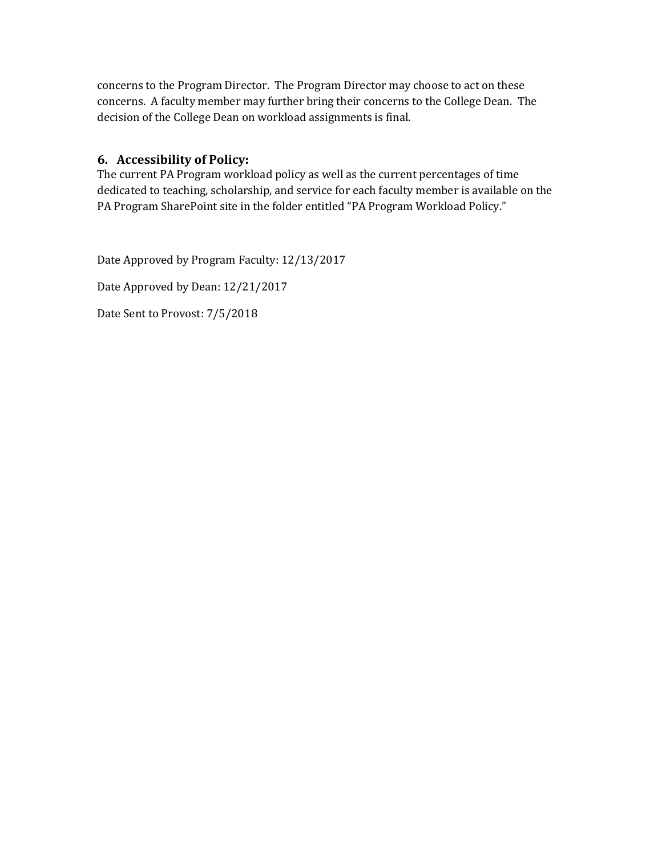concerns to the Program Director. The Program Director may choose to act on these concerns. A faculty member may further bring their concerns to the College Dean. The decision of the College Dean on workload assignments is final.

#### **6. Accessibility of Policy:**

The current PA Program workload policy as well as the current percentages of time dedicated to teaching, scholarship, and service for each faculty member is available on the PA Program SharePoint site in the folder entitled "PA Program Workload Policy."

Date Approved by Program Faculty: 12/13/2017

Date Approved by Dean: 12/21/2017

Date Sent to Provost: 7/5/2018